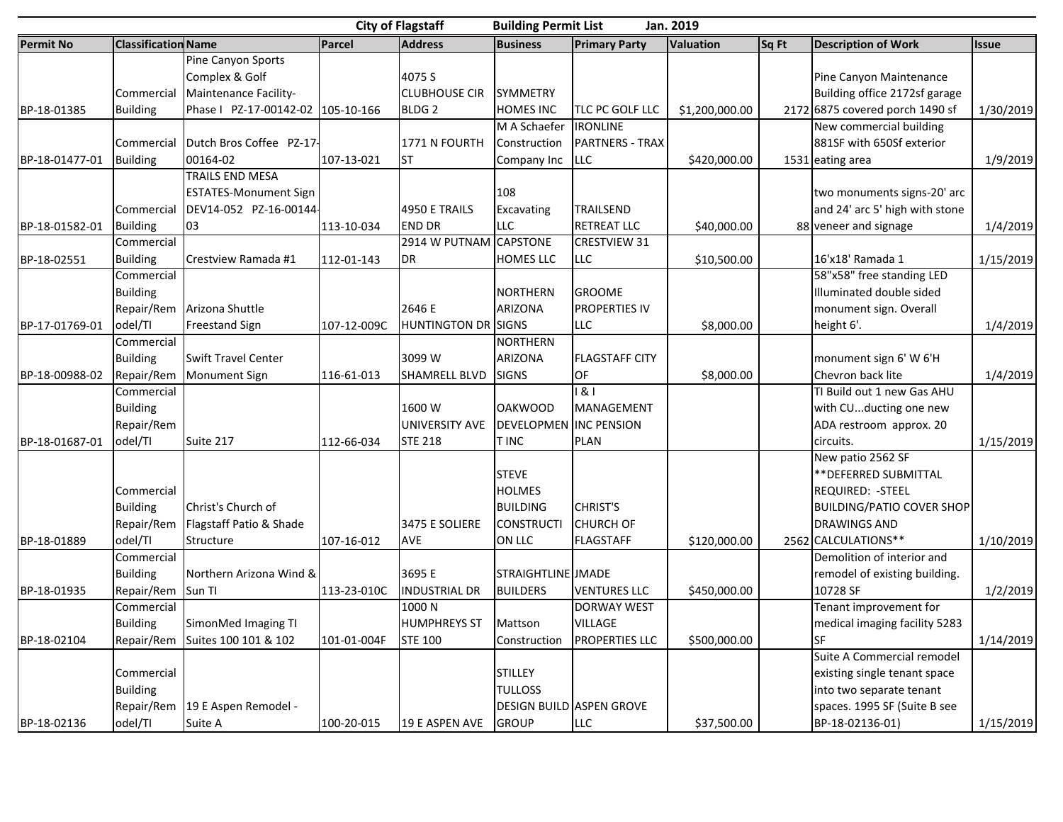| <b>City of Flagstaff</b><br><b>Building Permit List</b><br>Jan. 2019 |                               |                                   |             |                            |                                  |                                 |                  |       |                                                          |              |
|----------------------------------------------------------------------|-------------------------------|-----------------------------------|-------------|----------------------------|----------------------------------|---------------------------------|------------------|-------|----------------------------------------------------------|--------------|
| <b>Permit No</b>                                                     | <b>Classification Name</b>    |                                   | Parcel      | <b>Address</b>             | <b>Business</b>                  | <b>Primary Party</b>            | <b>Valuation</b> | Sq Ft | <b>Description of Work</b>                               | <b>Issue</b> |
|                                                                      |                               | Pine Canyon Sports                |             |                            |                                  |                                 |                  |       |                                                          |              |
|                                                                      |                               | Complex & Golf                    |             | 4075 S                     |                                  |                                 |                  |       | Pine Canyon Maintenance                                  |              |
|                                                                      | Commercial                    | Maintenance Facility-             |             | <b>CLUBHOUSE CIR</b>       | <b>SYMMETRY</b>                  |                                 |                  |       | Building office 2172sf garage                            |              |
| BP-18-01385                                                          | <b>Building</b>               | Phase   PZ-17-00142-02 105-10-166 |             | <b>BLDG 2</b>              | <b>HOMES INC</b>                 | TLC PC GOLF LLC                 | \$1,200,000.00   |       | 2172 6875 covered porch 1490 sf                          | 1/30/2019    |
|                                                                      |                               |                                   |             |                            | M A Schaefer                     | <b>IRONLINE</b>                 |                  |       | New commercial building                                  |              |
|                                                                      | Commercial                    | Dutch Bros Coffee PZ-17-          |             | 1771 N FOURTH              | Construction                     | <b>PARTNERS - TRAX</b>          |                  |       | 881SF with 650Sf exterior                                |              |
| BP-18-01477-01                                                       | <b>Building</b>               | 00164-02                          | 107-13-021  | <b>I</b> ST                | Company Inc                      | LLC                             | \$420,000.00     |       | 1531 eating area                                         | 1/9/2019     |
|                                                                      |                               | TRAILS END MESA                   |             |                            |                                  |                                 |                  |       |                                                          |              |
|                                                                      |                               | <b>ESTATES-Monument Sign</b>      |             |                            | 108                              |                                 |                  |       | two monuments signs-20' arc                              |              |
|                                                                      | Commercial                    | DEV14-052 PZ-16-00144-            |             | 4950 E TRAILS              | Excavating                       | TRAILSEND                       |                  |       | and 24' arc 5' high with stone                           |              |
| BP-18-01582-01                                                       | <b>Building</b>               | 03                                | 113-10-034  | <b>END DR</b>              | <b>LLC</b>                       | <b>RETREAT LLC</b>              | \$40,000.00      |       | 88 veneer and signage                                    | 1/4/2019     |
|                                                                      | Commercial                    |                                   |             | 2914 W PUTNAM CAPSTONE     |                                  | <b>CRESTVIEW 31</b>             |                  |       |                                                          |              |
| BP-18-02551                                                          | <b>Building</b>               | Crestview Ramada #1               | 112-01-143  | DR                         | <b>HOMES LLC</b>                 | <b>LLC</b>                      | \$10,500.00      |       | 16'x18' Ramada 1                                         | 1/15/2019    |
|                                                                      | Commercial                    |                                   |             |                            |                                  |                                 |                  |       | 58"x58" free standing LED                                |              |
|                                                                      | <b>Building</b>               |                                   |             |                            | <b>NORTHERN</b>                  | <b>GROOME</b>                   |                  |       | Illuminated double sided                                 |              |
|                                                                      | Repair/Rem                    | Arizona Shuttle                   |             | 2646 E                     | <b>ARIZONA</b>                   | <b>PROPERTIES IV</b>            |                  |       | monument sign. Overall                                   |              |
| BP-17-01769-01                                                       | odel/TI                       | <b>Freestand Sign</b>             | 107-12-009C | <b>HUNTINGTON DR SIGNS</b> |                                  | LLC                             | \$8,000.00       |       | height 6'.                                               | 1/4/2019     |
|                                                                      | Commercial                    |                                   |             |                            | <b>NORTHERN</b>                  |                                 |                  |       |                                                          |              |
|                                                                      | <b>Building</b>               | <b>Swift Travel Center</b>        |             | 3099 W                     | <b>ARIZONA</b>                   | <b>FLAGSTAFF CITY</b>           |                  |       | monument sign 6' W 6'H                                   |              |
| BP-18-00988-02                                                       | Repair/Rem                    | Monument Sign                     | 116-61-013  | <b>SHAMRELL BLVD</b>       | <b>SIGNS</b>                     | OF                              | \$8,000.00       |       | Chevron back lite                                        | 1/4/2019     |
|                                                                      | Commercial                    |                                   |             |                            |                                  | 181                             |                  |       | TI Build out 1 new Gas AHU                               |              |
|                                                                      | <b>Building</b>               |                                   |             | 1600 W                     | <b>OAKWOOD</b>                   | MANAGEMENT                      |                  |       | with CUducting one new                                   |              |
|                                                                      | Repair/Rem                    |                                   |             | <b>UNIVERSITY AVE</b>      | <b>DEVELOPMEN</b>                | <b>INC PENSION</b>              |                  |       | ADA restroom approx. 20                                  |              |
| BP-18-01687-01                                                       | odel/TI                       | Suite 217                         | 112-66-034  | <b>STE 218</b>             | <b>TINC</b>                      | <b>PLAN</b>                     |                  |       | circuits.                                                | 1/15/2019    |
|                                                                      |                               |                                   |             |                            |                                  |                                 |                  |       | New patio 2562 SF                                        |              |
|                                                                      |                               |                                   |             |                            | <b>STEVE</b>                     |                                 |                  |       | ** DEFERRED SUBMITTAL                                    |              |
|                                                                      | Commercial                    |                                   |             |                            | <b>HOLMES</b>                    |                                 |                  |       | <b>REQUIRED: - STEEL</b>                                 |              |
|                                                                      | <b>Building</b>               | Christ's Church of                |             |                            | <b>BUILDING</b>                  | <b>CHRIST'S</b>                 |                  |       | <b>BUILDING/PATIO COVER SHOP</b>                         |              |
|                                                                      | Repair/Rem                    | Flagstaff Patio & Shade           |             | 3475 E SOLIERE             | <b>CONSTRUCTI</b>                | <b>CHURCH OF</b>                |                  |       | <b>DRAWINGS AND</b>                                      |              |
| BP-18-01889                                                          | odel/TI                       | Structure                         | 107-16-012  | <b>AVE</b>                 | ON LLC                           | <b>FLAGSTAFF</b>                | \$120,000.00     |       | 2562 CALCULATIONS**                                      | 1/10/2019    |
|                                                                      | Commercial                    |                                   |             |                            |                                  |                                 |                  |       | Demolition of interior and                               |              |
|                                                                      | <b>Building</b>               | Northern Arizona Wind &           |             | 3695 E                     | STRAIGHTLINE JMADE               |                                 |                  |       | remodel of existing building.                            |              |
| BP-18-01935                                                          | Repair/Rem                    | Sun TI                            | 113-23-010C | <b>INDUSTRIAL DR</b>       | <b>BUILDERS</b>                  | <b>VENTURES LLC</b>             | \$450,000.00     |       | 10728 SF                                                 | 1/2/2019     |
|                                                                      | Commercial                    |                                   |             | 1000N                      |                                  | <b>DORWAY WEST</b>              |                  |       | Tenant improvement for                                   |              |
|                                                                      | <b>Building</b>               | SimonMed Imaging TI               |             | <b>HUMPHREYS ST</b>        | Mattson                          | <b>VILLAGE</b>                  |                  |       | medical imaging facility 5283                            |              |
| BP-18-02104                                                          | Repair/Rem                    | Suites 100 101 & 102              | 101-01-004F | <b>STE 100</b>             | Construction                     | <b>PROPERTIES LLC</b>           | \$500,000.00     |       | <b>SF</b>                                                | 1/14/2019    |
|                                                                      |                               |                                   |             |                            |                                  |                                 |                  |       | Suite A Commercial remodel                               |              |
|                                                                      |                               |                                   |             |                            |                                  |                                 |                  |       |                                                          |              |
|                                                                      | Commercial<br><b>Building</b> |                                   |             |                            | <b>STILLEY</b><br><b>TULLOSS</b> |                                 |                  |       | existing single tenant space<br>into two separate tenant |              |
|                                                                      |                               |                                   |             |                            |                                  | <b>DESIGN BUILD ASPEN GROVE</b> |                  |       |                                                          |              |
|                                                                      | Repair/Rem                    | 19 E Aspen Remodel -              |             |                            |                                  |                                 |                  |       | spaces. 1995 SF (Suite B see                             |              |
| BP-18-02136                                                          | odel/TI                       | Suite A                           | 100-20-015  | 19 E ASPEN AVE             | <b>GROUP</b>                     | <b>LLC</b>                      | \$37,500.00      |       | BP-18-02136-01)                                          | 1/15/2019    |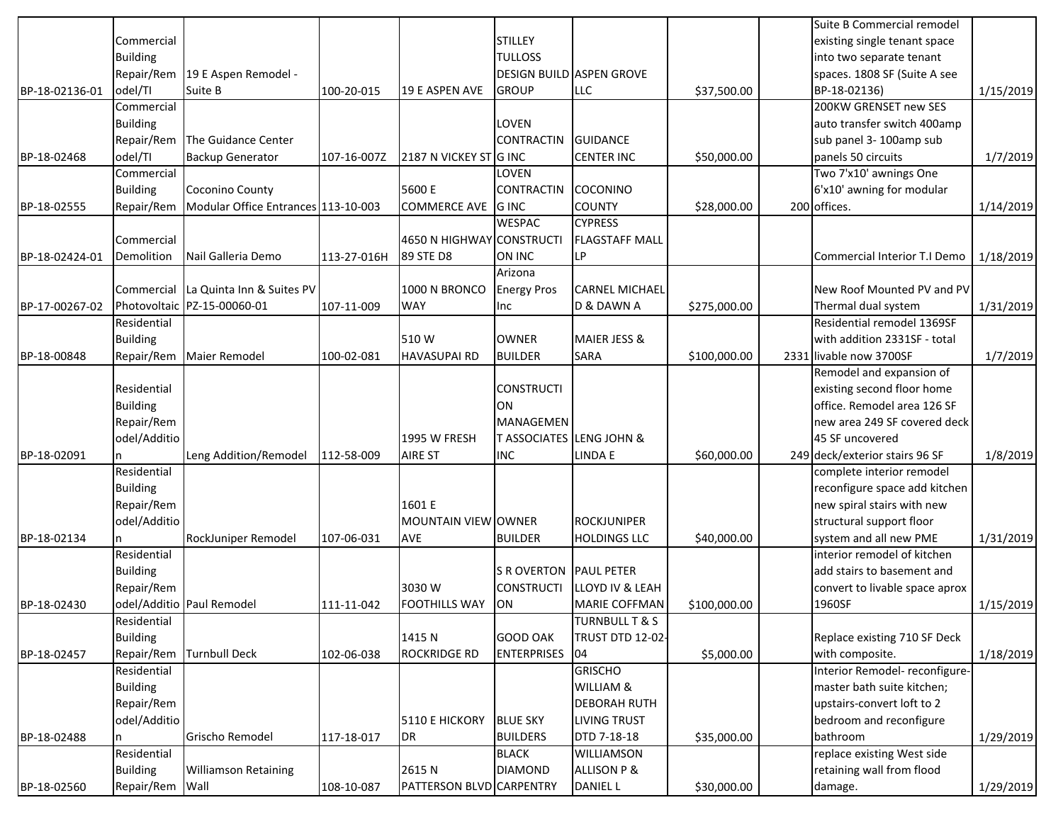|                |                 |                                      |             |                           |                                     |                            |              | Suite B Commercial remodel     |           |
|----------------|-----------------|--------------------------------------|-------------|---------------------------|-------------------------------------|----------------------------|--------------|--------------------------------|-----------|
|                | Commercial      |                                      |             |                           | <b>STILLEY</b>                      |                            |              | existing single tenant space   |           |
|                | <b>Building</b> |                                      |             |                           | <b>TULLOSS</b>                      |                            |              | into two separate tenant       |           |
|                | Repair/Rem      | 19 E Aspen Remodel -                 |             |                           | <b>DESIGN BUILD ASPEN GROVE</b>     |                            |              | spaces. 1808 SF (Suite A see   |           |
| BP-18-02136-01 | odel/TI         | Suite B                              | 100-20-015  | 19 E ASPEN AVE            | <b>GROUP</b>                        | <b>LLC</b>                 | \$37,500.00  | BP-18-02136)                   | 1/15/2019 |
|                | Commercial      |                                      |             |                           |                                     |                            |              | 200KW GRENSET new SES          |           |
|                | <b>Building</b> |                                      |             |                           | LOVEN                               |                            |              | auto transfer switch 400amp    |           |
|                | Repair/Rem      | The Guidance Center                  |             |                           | <b>CONTRACTIN</b>                   | <b>GUIDANCE</b>            |              | sub panel 3-100amp sub         |           |
| BP-18-02468    | odel/TI         | <b>Backup Generator</b>              | 107-16-007Z | 2187 N VICKEY ST G INC    |                                     | <b>CENTER INC</b>          | \$50,000.00  | panels 50 circuits             | 1/7/2019  |
|                | Commercial      |                                      |             |                           | LOVEN                               |                            |              | Two 7'x10' awnings One         |           |
|                | <b>Building</b> | Coconino County                      |             | 5600 E                    | <b>CONTRACTIN</b>                   | COCONINO                   |              | 6'x10' awning for modular      |           |
| BP-18-02555    | Repair/Rem      | Modular Office Entrances 113-10-003  |             | <b>COMMERCE AVE GINC</b>  |                                     | <b>COUNTY</b>              | \$28,000.00  | 200 offices.                   | 1/14/2019 |
|                |                 |                                      |             |                           | <b>WESPAC</b>                       | <b>CYPRESS</b>             |              |                                |           |
|                | Commercial      |                                      |             | 4650 N HIGHWAY CONSTRUCTI |                                     | <b>FLAGSTAFF MALL</b>      |              |                                |           |
| BP-18-02424-01 | Demolition      | Nail Galleria Demo                   | 113-27-016H | 89 STE D8                 | ON INC                              | LP                         |              | Commercial Interior T.I Demo   | 1/18/2019 |
|                |                 |                                      |             |                           | Arizona                             |                            |              |                                |           |
|                |                 | Commercial La Quinta Inn & Suites PV |             | 1000 N BRONCO             | <b>Energy Pros</b>                  | <b>CARNEL MICHAEL</b>      |              | New Roof Mounted PV and PV     |           |
| BP-17-00267-02 |                 | Photovoltaic PZ-15-00060-01          | 107-11-009  | <b>WAY</b>                | Inc                                 | D & DAWN A                 | \$275,000.00 | Thermal dual system            | 1/31/2019 |
|                | Residential     |                                      |             |                           |                                     |                            |              | Residential remodel 1369SF     |           |
|                | <b>Building</b> |                                      |             | 510W                      | <b>OWNER</b>                        | <b>MAIER JESS &amp;</b>    |              | with addition 2331SF - total   |           |
| BP-18-00848    | Repair/Rem      | <b>Maier Remodel</b>                 | 100-02-081  | HAVASUPAI RD              | <b>BUILDER</b>                      | <b>SARA</b>                |              | 2331 livable now 3700SF        | 1/7/2019  |
|                |                 |                                      |             |                           |                                     |                            | \$100,000.00 | Remodel and expansion of       |           |
|                | Residential     |                                      |             |                           | <b>CONSTRUCTI</b>                   |                            |              | existing second floor home     |           |
|                |                 |                                      |             |                           | ON                                  |                            |              | office. Remodel area 126 SF    |           |
|                | <b>Building</b> |                                      |             |                           |                                     |                            |              |                                |           |
|                | Repair/Rem      |                                      |             |                           | MANAGEMEN                           |                            |              | new area 249 SF covered deck   |           |
|                | odel/Additio    |                                      |             | 1995 W FRESH              | <b>T ASSOCIATES LENG JOHN &amp;</b> |                            |              | 45 SF uncovered                |           |
| BP-18-02091    |                 | Leng Addition/Remodel                | 112-58-009  | AIRE ST                   | <b>INC</b>                          | LINDA E                    | \$60,000.00  | 249 deck/exterior stairs 96 SF | 1/8/2019  |
|                | Residential     |                                      |             |                           |                                     |                            |              | complete interior remodel      |           |
|                | <b>Building</b> |                                      |             |                           |                                     |                            |              | reconfigure space add kitchen  |           |
|                | Repair/Rem      |                                      |             | 1601 E                    |                                     |                            |              | new spiral stairs with new     |           |
|                | odel/Additio    |                                      |             | MOUNTAIN VIEW OWNER       |                                     | <b>ROCKJUNIPER</b>         |              | structural support floor       |           |
| BP-18-02134    |                 | RockJuniper Remodel                  | 107-06-031  | <b>AVE</b>                | <b>BUILDER</b>                      | <b>HOLDINGS LLC</b>        | \$40,000.00  | system and all new PME         | 1/31/2019 |
|                | Residential     |                                      |             |                           |                                     |                            |              | interior remodel of kitchen    |           |
|                | <b>Building</b> |                                      |             |                           | <b>S R OVERTON PAUL PETER</b>       |                            |              | add stairs to basement and     |           |
|                | Repair/Rem      |                                      |             | 3030W                     | <b>CONSTRUCTI</b>                   | <b>LLOYD IV &amp; LEAH</b> |              | convert to livable space aprox |           |
| BP-18-02430    |                 | odel/Additio Paul Remodel            | 111-11-042  | <b>FOOTHILLS WAY</b>      | <b>ON</b>                           | <b>MARIE COFFMAN</b>       | \$100,000.00 | 1960SF                         | 1/15/2019 |
|                | Residential     |                                      |             |                           |                                     | TURNBULL T & S             |              |                                |           |
|                | <b>Building</b> |                                      |             | 1415 N                    | <b>GOOD OAK</b>                     | <b>TRUST DTD 12-02-</b>    |              | Replace existing 710 SF Deck   |           |
| BP-18-02457    | Repair/Rem      | <b>Turnbull Deck</b>                 | 102-06-038  | <b>ROCKRIDGE RD</b>       | <b>ENTERPRISES</b>                  | 04                         | \$5,000.00   | with composite.                | 1/18/2019 |
|                | Residential     |                                      |             |                           |                                     | <b>GRISCHO</b>             |              | Interior Remodel- reconfigure- |           |
|                | <b>Building</b> |                                      |             |                           |                                     | WILLIAM &                  |              | master bath suite kitchen;     |           |
|                | Repair/Rem      |                                      |             |                           |                                     | <b>DEBORAH RUTH</b>        |              | upstairs-convert loft to 2     |           |
|                | odel/Additio    |                                      |             | 5110 E HICKORY            | <b>BLUE SKY</b>                     | <b>LIVING TRUST</b>        |              | bedroom and reconfigure        |           |
| BP-18-02488    | n               | Grischo Remodel                      | 117-18-017  | DR                        | <b>BUILDERS</b>                     | DTD 7-18-18                | \$35,000.00  | bathroom                       | 1/29/2019 |
|                | Residential     |                                      |             |                           | <b>BLACK</b>                        | WILLIAMSON                 |              | replace existing West side     |           |
|                | <b>Building</b> | <b>Williamson Retaining</b>          |             | 2615N                     | <b>DIAMOND</b>                      | <b>ALLISON P &amp;</b>     |              | retaining wall from flood      |           |
| BP-18-02560    | Repair/Rem Wall |                                      | 108-10-087  | PATTERSON BLVD CARPENTRY  |                                     | <b>DANIEL L</b>            | \$30,000.00  | damage.                        | 1/29/2019 |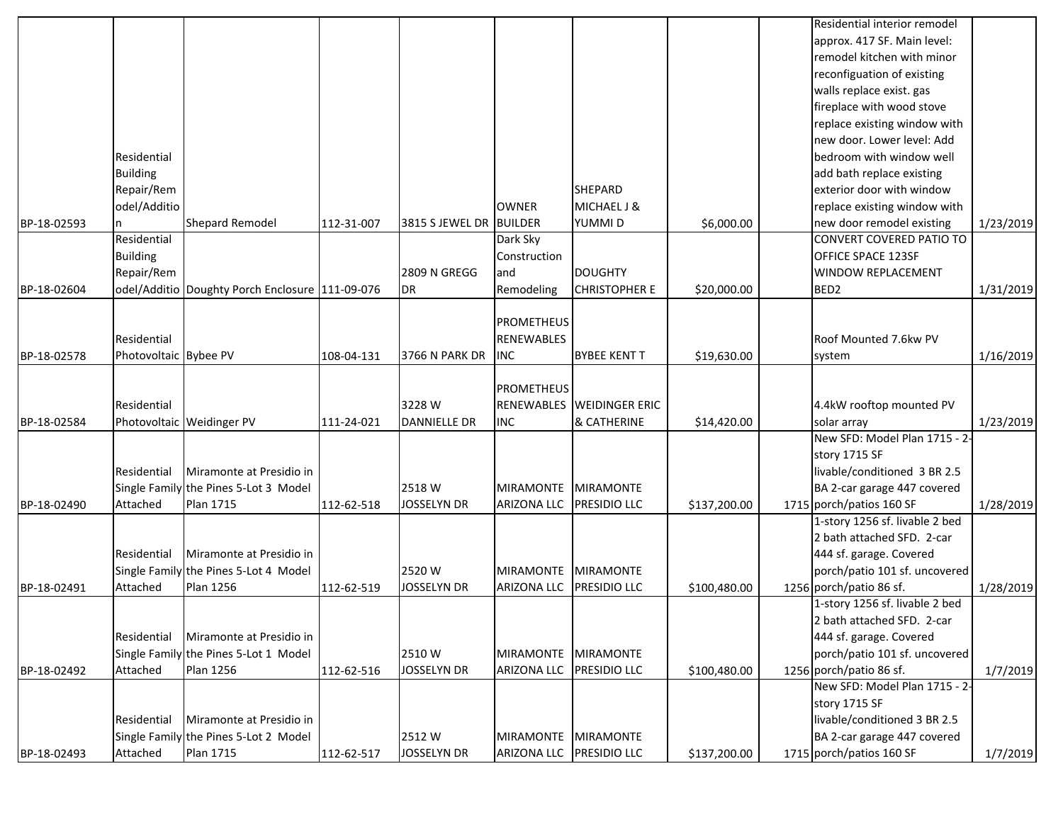|             |                       |                                                 |            |                         |                    |                       |              | Residential interior remodel    |           |
|-------------|-----------------------|-------------------------------------------------|------------|-------------------------|--------------------|-----------------------|--------------|---------------------------------|-----------|
|             |                       |                                                 |            |                         |                    |                       |              | approx. 417 SF. Main level:     |           |
|             |                       |                                                 |            |                         |                    |                       |              | remodel kitchen with minor      |           |
|             |                       |                                                 |            |                         |                    |                       |              | reconfiguation of existing      |           |
|             |                       |                                                 |            |                         |                    |                       |              | walls replace exist. gas        |           |
|             |                       |                                                 |            |                         |                    |                       |              | fireplace with wood stove       |           |
|             |                       |                                                 |            |                         |                    |                       |              | replace existing window with    |           |
|             |                       |                                                 |            |                         |                    |                       |              | new door. Lower level: Add      |           |
|             | Residential           |                                                 |            |                         |                    |                       |              | bedroom with window well        |           |
|             | <b>Building</b>       |                                                 |            |                         |                    |                       |              | add bath replace existing       |           |
|             | Repair/Rem            |                                                 |            |                         |                    | SHEPARD               |              | exterior door with window       |           |
|             | odel/Additio          |                                                 |            |                         | <b>OWNER</b>       | MICHAEL J &           |              | replace existing window with    |           |
| BP-18-02593 |                       | Shepard Remodel                                 | 112-31-007 | 3815 S JEWEL DR BUILDER |                    | YUMMI D               | \$6,000.00   | new door remodel existing       | 1/23/2019 |
|             | Residential           |                                                 |            |                         | Dark Sky           |                       |              | <b>CONVERT COVERED PATIO TO</b> |           |
|             | <b>Building</b>       |                                                 |            |                         | Construction       |                       |              | OFFICE SPACE 123SF              |           |
|             | Repair/Rem            |                                                 |            | <b>2809 N GREGG</b>     | and                | <b>DOUGHTY</b>        |              | WINDOW REPLACEMENT              |           |
| BP-18-02604 |                       | odel/Additio Doughty Porch Enclosure 111-09-076 |            | DR                      | Remodeling         | <b>CHRISTOPHER E</b>  | \$20,000.00  | BED <sub>2</sub>                | 1/31/2019 |
|             |                       |                                                 |            |                         |                    |                       |              |                                 |           |
|             |                       |                                                 |            |                         | <b>PROMETHEUS</b>  |                       |              |                                 |           |
|             | Residential           |                                                 |            |                         | <b>RENEWABLES</b>  |                       |              | Roof Mounted 7.6kw PV           |           |
| BP-18-02578 | Photovoltaic Bybee PV |                                                 | 108-04-131 | <b>3766 N PARK DR</b>   | <b>INC</b>         | <b>BYBEE KENT T</b>   | \$19,630.00  | system                          | 1/16/2019 |
|             |                       |                                                 |            |                         |                    |                       |              |                                 |           |
|             |                       |                                                 |            |                         | <b>PROMETHEUS</b>  |                       |              |                                 |           |
|             | Residential           |                                                 |            | 3228 W                  | <b>RENEWABLES</b>  | <b>WEIDINGER ERIC</b> |              | 4.4kW rooftop mounted PV        |           |
| BP-18-02584 |                       | Photovoltaic Weidinger PV                       | 111-24-021 | <b>DANNIELLE DR</b>     | <b>INC</b>         | & CATHERINE           | \$14,420.00  | solar array                     | 1/23/2019 |
|             |                       |                                                 |            |                         |                    |                       |              | New SFD: Model Plan 1715 - 2-   |           |
|             |                       |                                                 |            |                         |                    |                       |              | story 1715 SF                   |           |
|             | Residential           | Miramonte at Presidio in                        |            |                         |                    |                       |              | livable/conditioned 3 BR 2.5    |           |
|             |                       | Single Family the Pines 5-Lot 3 Model           |            | 2518 W                  | <b>MIRAMONTE</b>   | <b>MIRAMONTE</b>      |              | BA 2-car garage 447 covered     |           |
| BP-18-02490 | Attached              | <b>Plan 1715</b>                                | 112-62-518 | <b>JOSSELYN DR</b>      | <b>ARIZONA LLC</b> | PRESIDIO LLC          | \$137,200.00 | 1715 porch/patios 160 SF        | 1/28/2019 |
|             |                       |                                                 |            |                         |                    |                       |              | 1-story 1256 sf. livable 2 bed  |           |
|             |                       |                                                 |            |                         |                    |                       |              | 2 bath attached SFD. 2-car      |           |
|             | Residential           | Miramonte at Presidio in                        |            |                         |                    |                       |              | 444 sf. garage. Covered         |           |
|             |                       | Single Family the Pines 5-Lot 4 Model           |            | 2520W                   | <b>MIRAMONTE</b>   | <b>MIRAMONTE</b>      |              | porch/patio 101 sf. uncovered   |           |
| BP-18-02491 | Attached              | <b>Plan 1256</b>                                | 112-62-519 | <b>JOSSELYN DR</b>      | <b>ARIZONA LLC</b> | PRESIDIO LLC          | \$100,480.00 | 1256 porch/patio 86 sf.         | 1/28/2019 |
|             |                       |                                                 |            |                         |                    |                       |              | 1-story 1256 sf. livable 2 bed  |           |
|             |                       |                                                 |            |                         |                    |                       |              | 2 bath attached SFD. 2-car      |           |
|             | Residential           | Miramonte at Presidio in                        |            |                         |                    |                       |              | 444 sf. garage. Covered         |           |
|             |                       | Single Family the Pines 5-Lot 1 Model           |            | 2510W                   | <b>MIRAMONTE</b>   | <b>MIRAMONTE</b>      |              | porch/patio 101 sf. uncovered   |           |
| BP-18-02492 | Attached              | <b>Plan 1256</b>                                | 112-62-516 | <b>JOSSELYN DR</b>      | ARIZONA LLC        | PRESIDIO LLC          | \$100,480.00 | 1256 porch/patio 86 sf.         |           |
|             |                       |                                                 |            |                         |                    |                       |              | New SFD: Model Plan 1715 - 2-   | 1/7/2019  |
|             |                       |                                                 |            |                         |                    |                       |              | story 1715 SF                   |           |
|             | Residential           | Miramonte at Presidio in                        |            |                         |                    |                       |              | livable/conditioned 3 BR 2.5    |           |
|             |                       | Single Family the Pines 5-Lot 2 Model           |            | 2512W                   |                    | <b>MIRAMONTE</b>      |              | BA 2-car garage 447 covered     |           |
|             |                       |                                                 |            |                         | <b>MIRAMONTE</b>   |                       |              |                                 |           |
| BP-18-02493 | Attached              | <b>Plan 1715</b>                                | 112-62-517 | <b>JOSSELYN DR</b>      | <b>ARIZONA LLC</b> | <b>PRESIDIO LLC</b>   | \$137,200.00 | 1715 porch/patios 160 SF        | 1/7/2019  |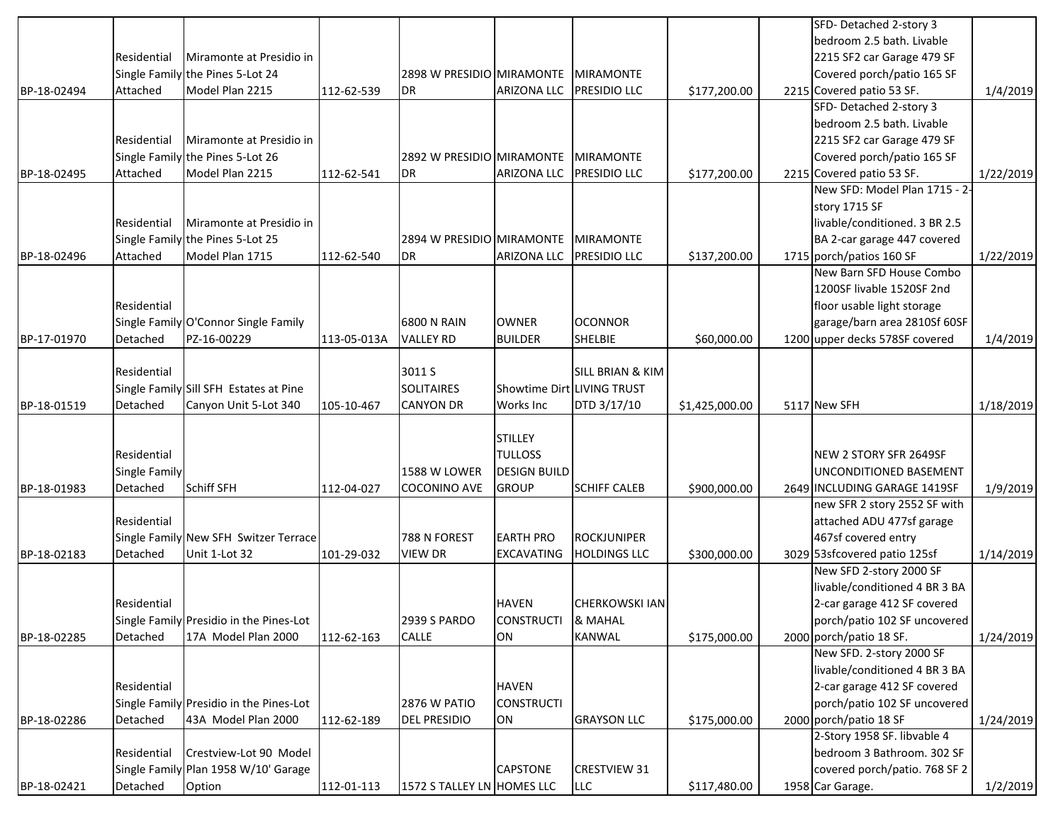|             |                      |                                         |             |                            |                            |                             |                | SFD- Detached 2-story 3                                 |           |
|-------------|----------------------|-----------------------------------------|-------------|----------------------------|----------------------------|-----------------------------|----------------|---------------------------------------------------------|-----------|
|             |                      |                                         |             |                            |                            |                             |                | bedroom 2.5 bath. Livable                               |           |
|             | Residential          | Miramonte at Presidio in                |             |                            |                            |                             |                | 2215 SF2 car Garage 479 SF                              |           |
|             |                      | Single Family the Pines 5-Lot 24        |             | 2898 W PRESIDIO MIRAMONTE  |                            | <b>MIRAMONTE</b>            |                | Covered porch/patio 165 SF                              |           |
| BP-18-02494 | Attached             | Model Plan 2215                         | 112-62-539  | <b>DR</b>                  | <b>ARIZONA LLC</b>         | <b>PRESIDIO LLC</b>         | \$177,200.00   | 2215 Covered patio 53 SF.                               | 1/4/2019  |
|             |                      |                                         |             |                            |                            |                             |                | SFD- Detached 2-story 3                                 |           |
|             |                      |                                         |             |                            |                            |                             |                | bedroom 2.5 bath. Livable                               |           |
|             | Residential          | Miramonte at Presidio in                |             |                            |                            |                             |                | 2215 SF2 car Garage 479 SF                              |           |
|             |                      | Single Family the Pines 5-Lot 26        |             | 2892 W PRESIDIO MIRAMONTE  |                            | <b>MIRAMONTE</b>            |                | Covered porch/patio 165 SF                              |           |
| BP-18-02495 | Attached             | Model Plan 2215                         | 112-62-541  | <b>DR</b>                  | <b>ARIZONA LLC</b>         | <b>PRESIDIO LLC</b>         | \$177,200.00   | 2215 Covered patio 53 SF.                               | 1/22/2019 |
|             |                      |                                         |             |                            |                            |                             |                | New SFD: Model Plan 1715 - 2-                           |           |
|             |                      |                                         |             |                            |                            |                             |                | story 1715 SF                                           |           |
|             | Residential          | Miramonte at Presidio in                |             |                            |                            |                             |                | livable/conditioned. 3 BR 2.5                           |           |
|             |                      | Single Family the Pines 5-Lot 25        |             | 2894 W PRESIDIO MIRAMONTE  |                            | <b>MIRAMONTE</b>            |                | BA 2-car garage 447 covered                             |           |
| BP-18-02496 | Attached             | Model Plan 1715                         | 112-62-540  | <b>DR</b>                  | <b>ARIZONA LLC</b>         | <b>PRESIDIO LLC</b>         | \$137,200.00   | 1715 porch/patios 160 SF                                | 1/22/2019 |
|             |                      |                                         |             |                            |                            |                             |                | New Barn SFD House Combo                                |           |
|             |                      |                                         |             |                            |                            |                             |                | 1200SF livable 1520SF 2nd                               |           |
|             | Residential          |                                         |             |                            |                            |                             |                | floor usable light storage                              |           |
|             |                      | Single Family O'Connor Single Family    |             | <b>6800 N RAIN</b>         | <b>OWNER</b>               | <b>OCONNOR</b>              |                | garage/barn area 2810Sf 60SF                            |           |
| BP-17-01970 | Detached             | PZ-16-00229                             | 113-05-013A | <b>VALLEY RD</b>           | <b>BUILDER</b>             | SHELBIE                     | \$60,000.00    | 1200 upper decks 578SF covered                          | 1/4/2019  |
|             |                      |                                         |             |                            |                            |                             |                |                                                         |           |
|             | Residential          |                                         |             | 3011 S                     |                            | <b>SILL BRIAN &amp; KIM</b> |                |                                                         |           |
|             |                      | Single Family Sill SFH Estates at Pine  |             | <b>SOLITAIRES</b>          | Showtime Dirt LIVING TRUST |                             |                |                                                         |           |
| BP-18-01519 | Detached             | Canyon Unit 5-Lot 340                   | 105-10-467  | <b>CANYON DR</b>           | Works Inc                  | DTD 3/17/10                 | \$1,425,000.00 | 5117 New SFH                                            | 1/18/2019 |
|             |                      |                                         |             |                            |                            |                             |                |                                                         |           |
|             |                      |                                         |             |                            | <b>STILLEY</b>             |                             |                |                                                         |           |
|             | Residential          |                                         |             |                            | <b>TULLOSS</b>             |                             |                | NEW 2 STORY SFR 2649SF                                  |           |
|             | <b>Single Family</b> |                                         |             | 1588 W LOWER               | <b>DESIGN BUILD</b>        |                             |                | UNCONDITIONED BASEMENT                                  |           |
| BP-18-01983 | Detached             | <b>Schiff SFH</b>                       | 112-04-027  | <b>COCONINO AVE</b>        | <b>GROUP</b>               | <b>SCHIFF CALEB</b>         | \$900,000.00   | 2649 INCLUDING GARAGE 1419SF                            | 1/9/2019  |
|             |                      |                                         |             |                            |                            |                             |                | new SFR 2 story 2552 SF with                            |           |
|             | Residential          |                                         |             |                            |                            |                             |                | attached ADU 477sf garage                               |           |
|             |                      | Single Family New SFH Switzer Terrace   |             | 788 N FOREST               | <b>EARTH PRO</b>           | <b>ROCKJUNIPER</b>          |                | 467sf covered entry                                     |           |
| BP-18-02183 | Detached             | Unit 1-Lot 32                           | 101-29-032  | <b>VIEW DR</b>             | <b>EXCAVATING</b>          | <b>HOLDINGS LLC</b>         | \$300,000.00   | 3029 53sfcovered patio 125sf<br>New SFD 2-story 2000 SF | 1/14/2019 |
|             |                      |                                         |             |                            |                            |                             |                | livable/conditioned 4 BR 3 BA                           |           |
|             | Residential          |                                         |             |                            | <b>HAVEN</b>               | <b>CHERKOWSKI IAN</b>       |                | 2-car garage 412 SF covered                             |           |
|             |                      | Single Family Presidio in the Pines-Lot |             | <b>2939 S PARDO</b>        | <b>CONSTRUCTI</b>          | & MAHAL                     |                |                                                         |           |
| BP-18-02285 | Detached             | 17A Model Plan 2000                     | 112-62-163  | <b>CALLE</b>               | ON                         | KANWAL                      | \$175,000.00   | porch/patio 102 SF uncovered<br>2000 porch/patio 18 SF. | 1/24/2019 |
|             |                      |                                         |             |                            |                            |                             |                | New SFD. 2-story 2000 SF                                |           |
|             |                      |                                         |             |                            |                            |                             |                | livable/conditioned 4 BR 3 BA                           |           |
|             | Residential          |                                         |             |                            | <b>HAVEN</b>               |                             |                | 2-car garage 412 SF covered                             |           |
|             |                      | Single Family Presidio in the Pines-Lot |             | 2876 W PATIO               | <b>CONSTRUCTI</b>          |                             |                | porch/patio 102 SF uncovered                            |           |
| BP-18-02286 | Detached             | 43A Model Plan 2000                     | 112-62-189  | <b>DEL PRESIDIO</b>        | ON                         | <b>GRAYSON LLC</b>          | \$175,000.00   | 2000 porch/patio 18 SF                                  | 1/24/2019 |
|             |                      |                                         |             |                            |                            |                             |                | 2-Story 1958 SF. libvable 4                             |           |
|             | Residential          | Crestview-Lot 90 Model                  |             |                            |                            |                             |                | bedroom 3 Bathroom. 302 SF                              |           |
|             |                      | Single Family Plan 1958 W/10' Garage    |             |                            | <b>CAPSTONE</b>            | <b>CRESTVIEW 31</b>         |                | covered porch/patio. 768 SF 2                           |           |
| BP-18-02421 | Detached             | Option                                  | 112-01-113  | 1572 S TALLEY LN HOMES LLC |                            | LLC                         | \$117,480.00   | 1958 Car Garage.                                        | 1/2/2019  |
|             |                      |                                         |             |                            |                            |                             |                |                                                         |           |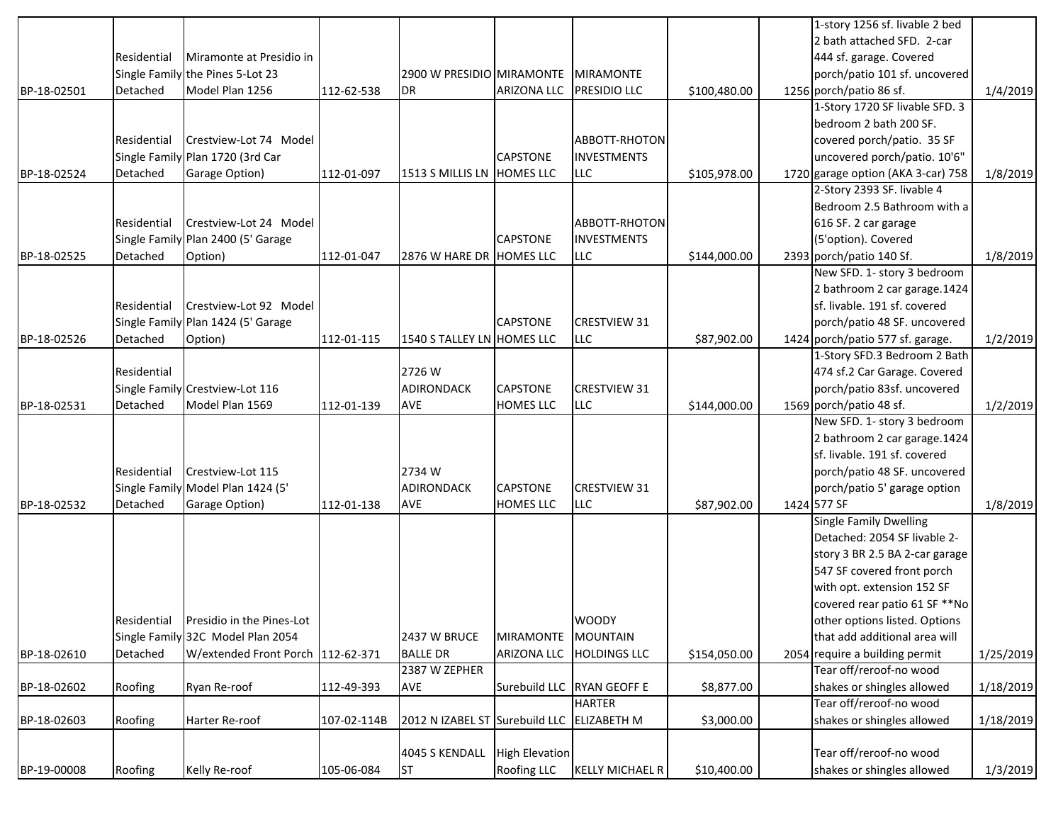|             |             |                                    |             |                                  |                       |                                 |              | 1-story 1256 sf. livable 2 bed                        |           |
|-------------|-------------|------------------------------------|-------------|----------------------------------|-----------------------|---------------------------------|--------------|-------------------------------------------------------|-----------|
|             |             |                                    |             |                                  |                       |                                 |              | 2 bath attached SFD. 2-car                            |           |
|             | Residential | Miramonte at Presidio in           |             |                                  |                       |                                 |              | 444 sf. garage. Covered                               |           |
|             |             | Single Family the Pines 5-Lot 23   |             | 2900 W PRESIDIO MIRAMONTE        |                       | <b>MIRAMONTE</b>                |              | porch/patio 101 sf. uncovered                         |           |
| BP-18-02501 | Detached    | Model Plan 1256                    | 112-62-538  | <b>DR</b>                        | <b>ARIZONA LLC</b>    | <b>PRESIDIO LLC</b>             | \$100,480.00 | 1256 porch/patio 86 sf.                               | 1/4/2019  |
|             |             |                                    |             |                                  |                       |                                 |              | 1-Story 1720 SF livable SFD. 3                        |           |
|             |             |                                    |             |                                  |                       |                                 |              | bedroom 2 bath 200 SF.                                |           |
|             | Residential | Crestview-Lot 74 Model             |             |                                  |                       | ABBOTT-RHOTON                   |              | covered porch/patio. 35 SF                            |           |
|             |             | Single Family Plan 1720 (3rd Car   |             |                                  | <b>CAPSTONE</b>       | <b>INVESTMENTS</b>              |              | uncovered porch/patio. 10'6"                          |           |
| BP-18-02524 | Detached    | Garage Option)                     | 112-01-097  | 1513 S MILLIS LN HOMES LLC       |                       | <b>LLC</b>                      | \$105,978.00 | 1720 garage option (AKA 3-car) 758                    | 1/8/2019  |
|             |             |                                    |             |                                  |                       |                                 |              | 2-Story 2393 SF. livable 4                            |           |
|             |             |                                    |             |                                  |                       |                                 |              | Bedroom 2.5 Bathroom with a                           |           |
|             | Residential | Crestview-Lot 24 Model             |             |                                  |                       | ABBOTT-RHOTON                   |              | 616 SF. 2 car garage                                  |           |
|             |             | Single Family Plan 2400 (5' Garage |             |                                  | <b>CAPSTONE</b>       | <b>INVESTMENTS</b>              |              | (5'option). Covered                                   |           |
| BP-18-02525 | Detached    | Option)                            | 112-01-047  | 2876 W HARE DR HOMES LLC         |                       | <b>LLC</b>                      | \$144,000.00 | 2393 porch/patio 140 Sf.                              | 1/8/2019  |
|             |             |                                    |             |                                  |                       |                                 |              | New SFD. 1- story 3 bedroom                           |           |
|             |             |                                    |             |                                  |                       |                                 |              | 2 bathroom 2 car garage.1424                          |           |
|             | Residential | Crestview-Lot 92 Model             |             |                                  |                       |                                 |              | sf. livable. 191 sf. covered                          |           |
|             |             | Single Family Plan 1424 (5' Garage |             |                                  | <b>CAPSTONE</b>       | <b>CRESTVIEW 31</b>             |              | porch/patio 48 SF. uncovered                          |           |
| BP-18-02526 | Detached    | Option)                            | 112-01-115  | 1540 S TALLEY LN HOMES LLC       |                       | LLC                             | \$87,902.00  | 1424 porch/patio 577 sf. garage.                      | 1/2/2019  |
|             |             |                                    |             |                                  |                       |                                 |              | 1-Story SFD.3 Bedroom 2 Bath                          |           |
|             | Residential |                                    |             | 2726 W                           |                       |                                 |              | 474 sf.2 Car Garage. Covered                          |           |
|             |             | Single Family Crestview-Lot 116    |             | <b>ADIRONDACK</b>                | <b>CAPSTONE</b>       | <b>CRESTVIEW 31</b>             |              | porch/patio 83sf. uncovered                           |           |
| BP-18-02531 | Detached    | Model Plan 1569                    | 112-01-139  | AVE                              | <b>HOMES LLC</b>      | <b>LLC</b>                      | \$144,000.00 | 1569 porch/patio 48 sf.                               | 1/2/2019  |
|             |             |                                    |             |                                  |                       |                                 |              | New SFD. 1- story 3 bedroom                           |           |
|             |             |                                    |             |                                  |                       |                                 |              | 2 bathroom 2 car garage.1424                          |           |
|             |             |                                    |             |                                  |                       |                                 |              | sf. livable. 191 sf. covered                          |           |
|             | Residential | Crestview-Lot 115                  |             | 2734W                            |                       |                                 |              | porch/patio 48 SF. uncovered                          |           |
|             |             | Single Family Model Plan 1424 (5'  |             | <b>ADIRONDACK</b>                | <b>CAPSTONE</b>       | <b>CRESTVIEW 31</b>             |              | porch/patio 5' garage option                          |           |
| BP-18-02532 | Detached    | Garage Option)                     | 112-01-138  | <b>AVE</b>                       | <b>HOMES LLC</b>      | <b>LLC</b>                      | \$87,902.00  | 1424 577 SF                                           | 1/8/2019  |
|             |             |                                    |             |                                  |                       |                                 |              | <b>Single Family Dwelling</b>                         |           |
|             |             |                                    |             |                                  |                       |                                 |              | Detached: 2054 SF livable 2-                          |           |
|             |             |                                    |             |                                  |                       |                                 |              | story 3 BR 2.5 BA 2-car garage                        |           |
|             |             |                                    |             |                                  |                       |                                 |              | 547 SF covered front porch                            |           |
|             |             |                                    |             |                                  |                       |                                 |              | with opt. extension 152 SF                            |           |
|             |             |                                    |             |                                  |                       |                                 |              | covered rear patio 61 SF ** No                        |           |
|             | Residential | Presidio in the Pines-Lot          |             |                                  |                       |                                 |              | other options listed. Options                         |           |
|             |             | Single Family 32C Model Plan 2054  |             | 2437 W BRUCE                     | <b>MIRAMONTE</b>      | <b>WOODY</b><br><b>MOUNTAIN</b> |              | that add additional area will                         |           |
|             | Detached    | W/extended Front Porch 112-62-371  |             |                                  | <b>ARIZONA LLC</b>    |                                 |              | 2054 require a building permit                        |           |
| BP-18-02610 |             |                                    |             | <b>BALLE DR</b><br>2387 W ZEPHER |                       | <b>HOLDINGS LLC</b>             | \$154,050.00 | Tear off/reroof-no wood                               | 1/25/2019 |
|             |             |                                    |             |                                  |                       | <b>RYAN GEOFF E</b>             |              |                                                       |           |
| BP-18-02602 | Roofing     | Ryan Re-roof                       | 112-49-393  | AVE                              | Surebuild LLC         | <b>HARTER</b>                   | \$8,877.00   | shakes or shingles allowed<br>Tear off/reroof-no wood | 1/18/2019 |
|             |             |                                    |             |                                  |                       |                                 |              |                                                       |           |
| BP-18-02603 | Roofing     | Harter Re-roof                     | 107-02-114B | 2012 N IZABEL ST Surebuild LLC   |                       | <b>ELIZABETH M</b>              | \$3,000.00   | shakes or shingles allowed                            | 1/18/2019 |
|             |             |                                    |             |                                  | <b>High Elevation</b> |                                 |              | Tear off/reroof-no wood                               |           |
|             |             |                                    |             | 4045 S KENDALL                   |                       |                                 |              |                                                       |           |
| BP-19-00008 | Roofing     | Kelly Re-roof                      | 105-06-084  | <b>ST</b>                        | Roofing LLC           | <b>KELLY MICHAEL R</b>          | \$10,400.00  | shakes or shingles allowed                            | 1/3/2019  |